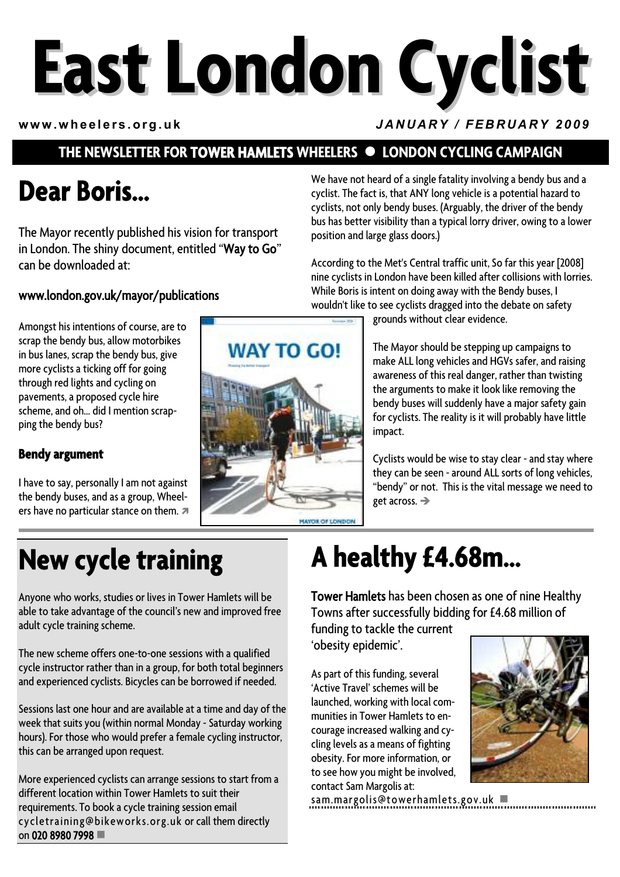# **East London Cyclist**

#### **www.wheelers.org.uk** *JANUARY / FEBRUARY 2009*

### **THE NEWSLETTER FOR TOWER HAMLETS WHEELERS**  $\bullet$  **LONDON CYCLING CAMPAIGN**

## **Dear Boris…**

The Mayor recently published his vision for transport in London. The shiny document, entitled "Way to Go" can be downloaded at:

#### www.london.gov.uk/mayor/publications

Amongst his intentions of course, are to scrap the bendy bus, allow motorbikes in bus lanes, scrap the bendy bus, give more cyclists a ticking off for going through red lights and cycling on pavements, a proposed cycle hire scheme, and oh… did I mention scrapping the bendy bus?

#### **Bendy argument**

I have to say, personally I am not against the bendy buses, and as a group, Wheelers have no particular stance on them.  $\pi$ 

# **WAY TO GO! MAYOR OF LONDON**

We have not heard of a single fatality involving a bendy bus and a cyclist. The fact is, that ANY long vehicle is a potential hazard to cyclists, not only bendy buses. (Arguably, the driver of the bendy bus has better visibility than a typical lorry driver, owing to a lower position and large glass doors.)

According to the Met's Central traffic unit, So far this year [2008] nine cyclists in London have been killed after collisions with lorries. While Boris is intent on doing away with the Bendy buses, I wouldn't like to see cyclists dragged into the debate on safety

grounds without clear evidence.

The Mayor should be stepping up campaigns to make ALL long vehicles and HGVs safer, and raising awareness of this real danger, rather than twisting the arguments to make it look like removing the bendy buses will suddenly have a major safety gain for cyclists. The reality is it will probably have little impact.

Cyclists would be wise to stay clear - and stay where they can be seen - around ALL sorts of long vehicles, "bendy" or not. This is the vital message we need to get across.  $\rightarrow$ 

**New cycle training** 

Anyone who works, studies or lives in Tower Hamlets will be able to take advantage of the council's new and improved free adult cycle training scheme.

The new scheme offers one-to-one sessions with a qualified cycle instructor rather than in a group, for both total beginners and experienced cyclists. Bicycles can be borrowed if needed.

Sessions last one hour and are available at a time and day of the week that suits you (within normal Monday - Saturday working hours). For those who would prefer a female cycling instructor, this can be arranged upon request.

More experienced cyclists can arrange sessions to start from a different location within Tower Hamlets to suit their requirements. To book a cycle training session email cycletraining@bikeworks.org.uk or call them directly on 020 8980 7998

# **A healthy £4.68m…**

Tower Hamlets has been chosen as one of nine Healthy Towns after successfully bidding for £4.68 million of

funding to tackle the current 'obesity epidemic'.

As part of this funding, several 'Active Travel' schemes will be launched, working with local communities in Tower Hamlets to encourage increased walking and cycling levels as a means of fighting obesity. For more information, or to see how you might be involved, contact Sam Margolis at:

sam.margolis@towerhamlets.gov.uk



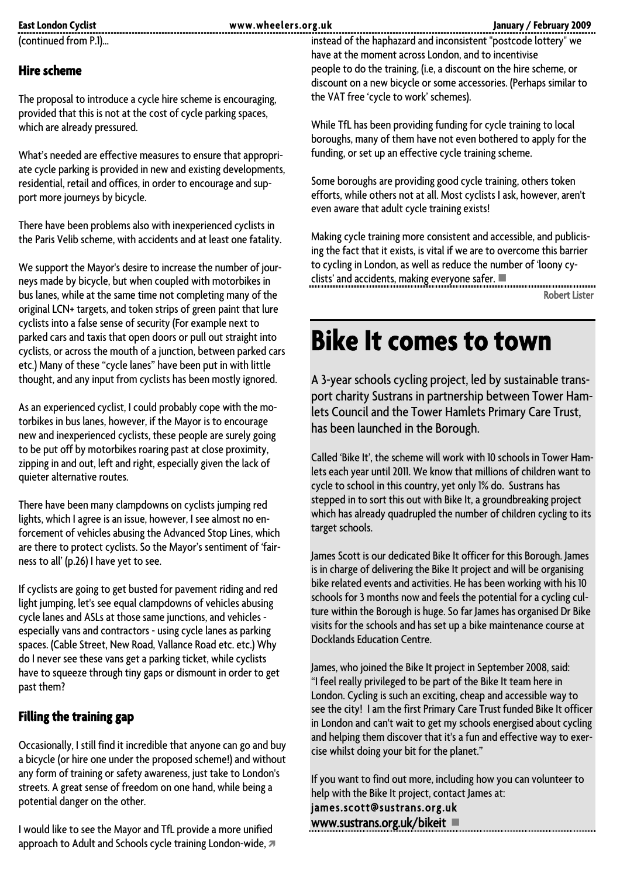**East London Cyclist www.wheelers.org.uk January / February 2009** 

(continued from P.1)…

#### **Hire scheme**

The proposal to introduce a cycle hire scheme is encouraging, provided that this is not at the cost of cycle parking spaces, which are already pressured.

What's needed are effective measures to ensure that appropriate cycle parking is provided in new and existing developments, residential, retail and offices, in order to encourage and support more journeys by bicycle.

There have been problems also with inexperienced cyclists in the Paris Velib scheme, with accidents and at least one fatality.

We support the Mayor's desire to increase the number of journeys made by bicycle, but when coupled with motorbikes in bus lanes, while at the same time not completing many of the original LCN+ targets, and token strips of green paint that lure cyclists into a false sense of security (For example next to parked cars and taxis that open doors or pull out straight into cyclists, or across the mouth of a junction, between parked cars etc.) Many of these "cycle lanes" have been put in with little thought, and any input from cyclists has been mostly ignored.

As an experienced cyclist, I could probably cope with the motorbikes in bus lanes, however, if the Mayor is to encourage new and inexperienced cyclists, these people are surely going to be put off by motorbikes roaring past at close proximity, zipping in and out, left and right, especially given the lack of quieter alternative routes.

There have been many clampdowns on cyclists jumping red lights, which I agree is an issue, however, I see almost no enforcement of vehicles abusing the Advanced Stop Lines, which are there to protect cyclists. So the Mayor's sentiment of 'fairness to all' (p.26) I have yet to see.

If cyclists are going to get busted for pavement riding and red light jumping, let's see equal clampdowns of vehicles abusing cycle lanes and ASLs at those same junctions, and vehicles especially vans and contractors - using cycle lanes as parking spaces. (Cable Street, New Road, Vallance Road etc. etc.) Why do I never see these vans get a parking ticket, while cyclists have to squeeze through tiny gaps or dismount in order to get past them?

#### **Filling the training gap**

Occasionally, I still find it incredible that anyone can go and buy a bicycle (or hire one under the proposed scheme!) and without any form of training or safety awareness, just take to London's streets. A great sense of freedom on one hand, while being a potential danger on the other.

I would like to see the Mayor and TfL provide a more unified approach to Adult and Schools cycle training London-wide,  $\pi$  instead of the haphazard and inconsistent "postcode lottery" we have at the moment across London, and to incentivise people to do the training, (i.e, a discount on the hire scheme, or discount on a new bicycle or some accessories. (Perhaps similar to the VAT free 'cycle to work' schemes).

While TfL has been providing funding for cycle training to local boroughs, many of them have not even bothered to apply for the funding, or set up an effective cycle training scheme.

Some boroughs are providing good cycle training, others token efforts, while others not at all. Most cyclists I ask, however, aren't even aware that adult cycle training exists!

Making cycle training more consistent and accessible, and publicising the fact that it exists, is vital if we are to overcome this barrier to cycling in London, as well as reduce the number of 'loony cyclists' and accidents, making everyone safer.

Robert Lister

## **Bike It comes to town**

A 3-year schools cycling project, led by sustainable transport charity Sustrans in partnership between Tower Hamlets Council and the Tower Hamlets Primary Care Trust, has been launched in the Borough.

Called 'Bike It', the scheme will work with 10 schools in Tower Hamlets each year until 2011. We know that millions of children want to cycle to school in this country, yet only 1% do. Sustrans has stepped in to sort this out with Bike It, a groundbreaking project which has already quadrupled the number of children cycling to its target schools.

James Scott is our dedicated Bike It officer for this Borough. James is in charge of delivering the Bike It project and will be organising bike related events and activities. He has been working with his 10 schools for 3 months now and feels the potential for a cycling culture within the Borough is huge. So far James has organised Dr Bike visits for the schools and has set up a bike maintenance course at Docklands Education Centre.

James, who joined the Bike It project in September 2008, said: "I feel really privileged to be part of the Bike It team here in London. Cycling is such an exciting, cheap and accessible way to see the city! I am the first Primary Care Trust funded Bike It officer in London and can't wait to get my schools energised about cycling and helping them discover that it's a fun and effective way to exercise whilst doing your bit for the planet."

If you want to find out more, including how you can volunteer to help with the Bike It project, contact James at:

james.scott@sustrans.org.uk www.sustrans.org.uk/bikeit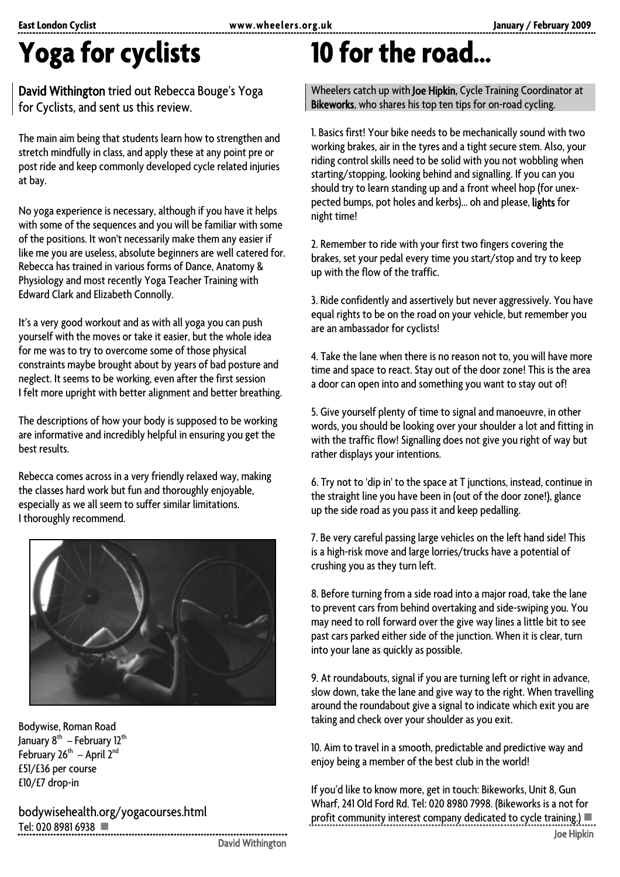## **Yoga for cyclists**

David Withington tried out Rebecca Bouge's Yoga for Cyclists, and sent us this review.

The main aim being that students learn how to strengthen and stretch mindfully in class, and apply these at any point pre or post ride and keep commonly developed cycle related injuries at bay.

No yoga experience is necessary, although if you have it helps with some of the sequences and you will be familiar with some of the positions. It won't necessarily make them any easier if like me you are useless, absolute beginners are well catered for. Rebecca has trained in various forms of Dance, Anatomy & Physiology and most recently Yoga Teacher Training with Edward Clark and Elizabeth Connolly.

It's a very good workout and as with all yoga you can push yourself with the moves or take it easier, but the whole idea for me was to try to overcome some of those physical constraints maybe brought about by years of bad posture and neglect. It seems to be working, even after the first session I felt more upright with better alignment and better breathing.

The descriptions of how your body is supposed to be working are informative and incredibly helpful in ensuring you get the best results.

Rebecca comes across in a very friendly relaxed way, making the classes hard work but fun and thoroughly enjoyable, especially as we all seem to suffer similar limitations. I thoroughly recommend.



Bodywise, Roman Road January 8<sup>th</sup> – February 12<sup>th</sup> February  $26^{th}$  – April  $2^{nd}$ £51/£36 per course £10/£7 drop-in

bodywisehealth.org/yogacourses.html Tel: 020 8981 6938

David Withington

## **10 for the road…**

Wheelers catch up with Joe Hipkin, Cycle Training Coordinator at Bikeworks, who shares his top ten tips for on-road cycling.

1. Basics first! Your bike needs to be mechanically sound with two working brakes, air in the tyres and a tight secure stem. Also, your riding control skills need to be solid with you not wobbling when starting/stopping, looking behind and signalling. If you can you should try to learn standing up and a front wheel hop (for unexpected bumps, pot holes and kerbs)... oh and please, lights for night time!

2. Remember to ride with your first two fingers covering the brakes, set your pedal every time you start/stop and try to keep up with the flow of the traffic.

3. Ride confidently and assertively but never aggressively. You have equal rights to be on the road on your vehicle, but remember you are an ambassador for cyclists!

4. Take the lane when there is no reason not to, you will have more time and space to react. Stay out of the door zone! This is the area a door can open into and something you want to stay out of!

5. Give yourself plenty of time to signal and manoeuvre, in other words, you should be looking over your shoulder a lot and fitting in with the traffic flow! Signalling does not give you right of way but rather displays your intentions.

6. Try not to 'dip in' to the space at T junctions, instead, continue in the straight line you have been in (out of the door zone!), glance up the side road as you pass it and keep pedalling.

7. Be very careful passing large vehicles on the left hand side! This is a high-risk move and large lorries/trucks have a potential of crushing you as they turn left.

8. Before turning from a side road into a major road, take the lane to prevent cars from behind overtaking and side-swiping you. You may need to roll forward over the give way lines a little bit to see past cars parked either side of the junction. When it is clear, turn into your lane as quickly as possible.

9. At roundabouts, signal if you are turning left or right in advance, slow down, take the lane and give way to the right. When travelling around the roundabout give a signal to indicate which exit you are taking and check over your shoulder as you exit.

10. Aim to travel in a smooth, predictable and predictive way and enjoy being a member of the best club in the world!

If you'd like to know more, get in touch: Bikeworks, Unit 8, Gun Wharf, 241 Old Ford Rd. Tel: 020 8980 7998. (Bikeworks is a not for profit community interest company dedicated to cycle training.) Joe Hipkin